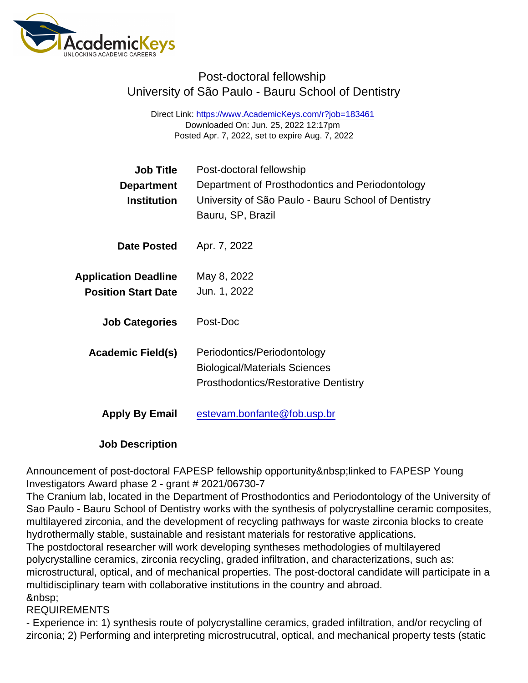## Post-doctoral fellowship University of São Paulo - Bauru School of Dentistry

Direct Link: <https://www.AcademicKeys.com/r?job=183461> Downloaded On: Jun. 25, 2022 12:17pm Posted Apr. 7, 2022, set to expire Aug. 7, 2022

| Job Title                   | Post-doctoral fellowship                            |
|-----------------------------|-----------------------------------------------------|
| Department                  | Department of Prosthodontics and Periodontology     |
| Institution                 | University of São Paulo - Bauru School of Dentistry |
|                             | Bauru, SP, Brazil                                   |
| Date Posted                 | Apr. 7, 2022                                        |
| <b>Application Deadline</b> | May 8, 2022                                         |
| <b>Position Start Date</b>  | Jun. 1, 2022                                        |
| <b>Job Categories</b>       | Post-Doc                                            |
| Academic Field(s)           | Periodontics/Periodontology                         |
|                             | <b>Biological/Materials Sciences</b>                |
|                             | <b>Prosthodontics/Restorative Dentistry</b>         |
| Apply By Email              | estevam.bonfante@fob.usp.br                         |

Job Description

Announcement of post-doctoral FAPESP fellowship opportunity linked to FAPESP Young Investigators Award phase 2 - grant # 2021/06730-7

The Cranium lab, located in the Department of Prosthodontics and Periodontology of the University of Sao Paulo - Bauru School of Dentistry works with the synthesis of polycrystalline ceramic composites, multilayered zirconia, and the development of recycling pathways for waste zirconia blocks to create hydrothermally stable, sustainable and resistant materials for restorative applications.

The postdoctoral researcher will work developing syntheses methodologies of multilayered polycrystalline ceramics, zirconia recycling, graded infiltration, and characterizations, such as: microstructural, optical, and of mechanical properties. The post-doctoral candidate will participate in a multidisciplinary team with collaborative institutions in the country and abroad. 

## REQUIREMENTS

- Experience in: 1) synthesis route of polycrystalline ceramics, graded infiltration, and/or recycling of zirconia; 2) Performing and interpreting microstrucutral, optical, and mechanical property tests (static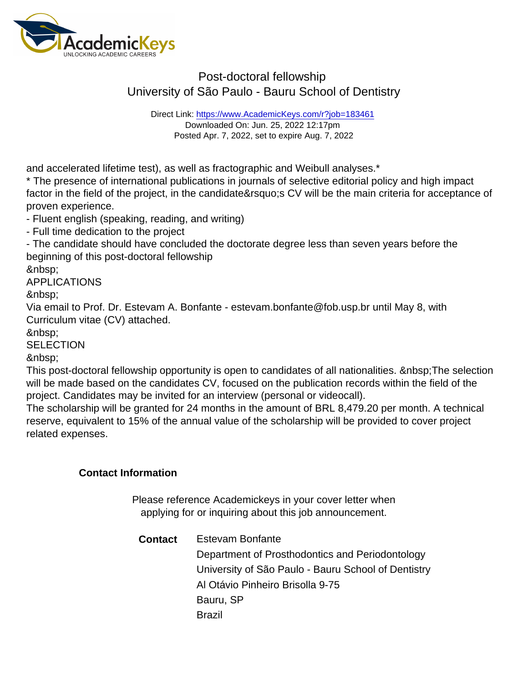## Post-doctoral fellowship University of São Paulo - Bauru School of Dentistry

Direct Link: <https://www.AcademicKeys.com/r?job=183461> Downloaded On: Jun. 25, 2022 12:17pm Posted Apr. 7, 2022, set to expire Aug. 7, 2022

and accelerated lifetime test), as well as fractographic and Weibull analyses.\*

\* The presence of international publications in journals of selective editorial policy and high impact factor in the field of the project, in the candidate' CV will be the main criteria for acceptance of proven experience.

- Fluent english (speaking, reading, and writing)

- Full time dedication to the project

- The candidate should have concluded the doctorate degree less than seven years before the beginning of this post-doctoral fellowship

APPLICATIONS

Via email to Prof. Dr. Estevam A. Bonfante - estevam.bonfante@fob.usp.br until May 8, with Curriculum vitae (CV) attached.

&nbsp:

**SELECTION** 

&nbsp:

This post-doctoral fellowship opportunity is open to candidates of all nationalities. The selection will be made based on the candidates CV, focused on the publication records within the field of the project. Candidates may be invited for an interview (personal or videocall).

The scholarship will be granted for 24 months in the amount of BRL 8,479.20 per month. A technical reserve, equivalent to 15% of the annual value of the scholarship will be provided to cover project related expenses.

Contact Information

Please reference Academickeys in your cover letter when applying for or inquiring about this job announcement.

| Contact | Estevam Bonfante                                    |
|---------|-----------------------------------------------------|
|         | Department of Prosthodontics and Periodontology     |
|         | University of São Paulo - Bauru School of Dentistry |
|         | Al Otávio Pinheiro Brisolla 9-75                    |
|         | Bauru, SP                                           |
|         | <b>Brazil</b>                                       |